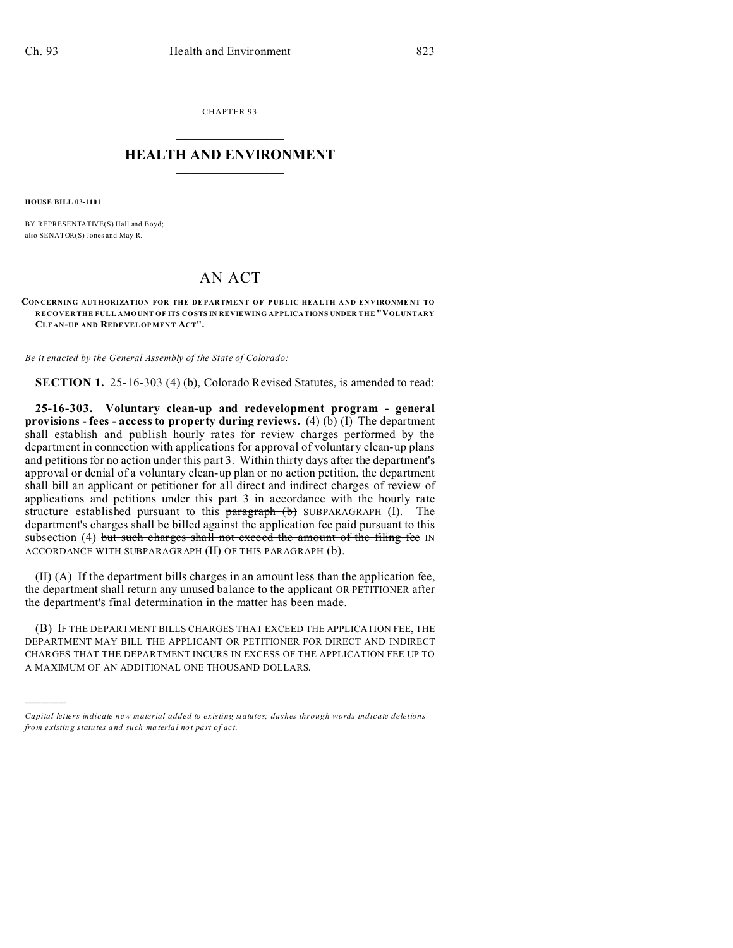CHAPTER 93  $\overline{\phantom{a}}$  , where  $\overline{\phantom{a}}$ 

## **HEALTH AND ENVIRONMENT**  $\_$   $\_$   $\_$   $\_$   $\_$   $\_$   $\_$   $\_$

**HOUSE BILL 03-1101**

)))))

BY REPRESENTATIVE(S) Hall and Boyd; also SENATOR(S) Jones and May R.

## AN ACT

**CONCERNING AUTHORIZATION FOR THE DE PARTMENT OF PUBLIC HEA LTH A ND EN VIRONME NT TO RECOVER THE FULL AMOUNT OF ITS COSTS IN REVIEWING APPLICATIONS UNDER THE "VOLUNTARY CLEAN-UP AND REDEVELOPMEN T ACT".**

*Be it enacted by the General Assembly of the State of Colorado:*

**SECTION 1.** 25-16-303 (4) (b), Colorado Revised Statutes, is amended to read:

**25-16-303. Voluntary clean-up and redevelopment program - general provisions - fees - access to property during reviews.** (4) (b) (I) The department shall establish and publish hourly rates for review charges performed by the department in connection with applications for approval of voluntary clean-up plans and petitions for no action under this part 3. Within thirty days after the department's approval or denial of a voluntary clean-up plan or no action petition, the department shall bill an applicant or petitioner for all direct and indirect charges of review of applications and petitions under this part 3 in accordance with the hourly rate structure established pursuant to this  $\frac{\partial}{\partial x}$  =  $\frac{\partial}{\partial y}$  SUBPARAGRAPH (I). The department's charges shall be billed against the application fee paid pursuant to this subsection (4) but such charges shall not exceed the amount of the filing fee  $IN$ ACCORDANCE WITH SUBPARAGRAPH (II) OF THIS PARAGRAPH (b).

(II) (A) If the department bills charges in an amount less than the application fee, the department shall return any unused balance to the applicant OR PETITIONER after the department's final determination in the matter has been made.

(B) IF THE DEPARTMENT BILLS CHARGES THAT EXCEED THE APPLICATION FEE, THE DEPARTMENT MAY BILL THE APPLICANT OR PETITIONER FOR DIRECT AND INDIRECT CHARGES THAT THE DEPARTMENT INCURS IN EXCESS OF THE APPLICATION FEE UP TO A MAXIMUM OF AN ADDITIONAL ONE THOUSAND DOLLARS.

*Capital letters indicate new material added to existing statutes; dashes through words indicate deletions from e xistin g statu tes a nd such ma teria l no t pa rt of ac t.*